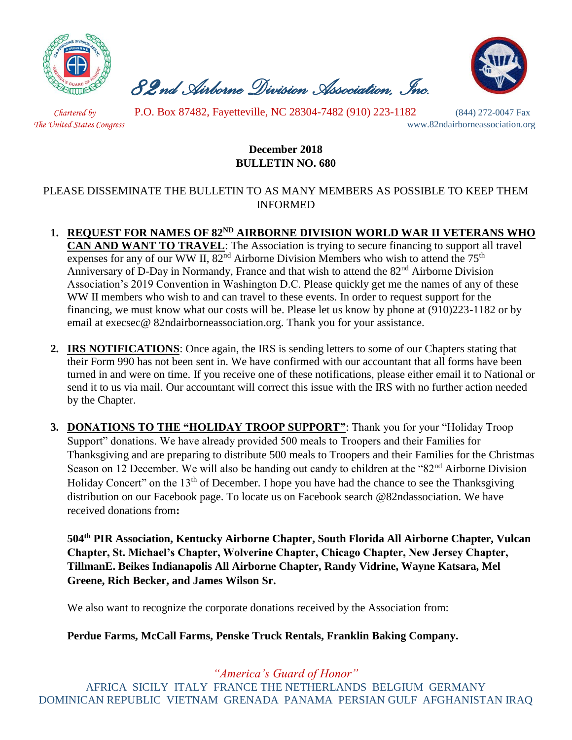

 *82nd Airborne Division Association, Inc.* 



 *Chartered by* P.O. Box 87482, Fayetteville, NC 28304-7482 (910) 223-1182 (844) 272-0047 Fax

*The United States Congress* www.82ndairborneassociation.org

## **December 2018 BULLETIN NO. 680**

## PLEASE DISSEMINATE THE BULLETIN TO AS MANY MEMBERS AS POSSIBLE TO KEEP THEM INFORMED

- **1. REQUEST FOR NAMES OF 82ND AIRBORNE DIVISION WORLD WAR II VETERANS WHO CAN AND WANT TO TRAVEL**: The Association is trying to secure financing to support all travel expenses for any of our WW II,  $82<sup>nd</sup>$  Airborne Division Members who wish to attend the  $75<sup>th</sup>$ Anniversary of D-Day in Normandy, France and that wish to attend the 82<sup>nd</sup> Airborne Division Association's 2019 Convention in Washington D.C. Please quickly get me the names of any of these WW II members who wish to and can travel to these events. In order to request support for the financing, we must know what our costs will be. Please let us know by phone at (910)223-1182 or by email at execsec@ 82ndairborneassociation.org. Thank you for your assistance.
- **2. IRS NOTIFICATIONS**: Once again, the IRS is sending letters to some of our Chapters stating that their Form 990 has not been sent in. We have confirmed with our accountant that all forms have been turned in and were on time. If you receive one of these notifications, please either email it to National or send it to us via mail. Our accountant will correct this issue with the IRS with no further action needed by the Chapter.
- **3. DONATIONS TO THE "HOLIDAY TROOP SUPPORT"**: Thank you for your "Holiday Troop Support" donations. We have already provided 500 meals to Troopers and their Families for Thanksgiving and are preparing to distribute 500 meals to Troopers and their Families for the Christmas Season on 12 December. We will also be handing out candy to children at the "82<sup>nd</sup> Airborne Division" Holiday Concert" on the 13<sup>th</sup> of December. I hope you have had the chance to see the Thanksgiving distribution on our Facebook page. To locate us on Facebook search @82ndassociation. We have received donations from**:**

**504th PIR Association, Kentucky Airborne Chapter, South Florida All Airborne Chapter, Vulcan Chapter, St. Michael's Chapter, Wolverine Chapter, Chicago Chapter, New Jersey Chapter, TillmanE. Beikes Indianapolis All Airborne Chapter, Randy Vidrine, Wayne Katsara, Mel Greene, Rich Becker, and James Wilson Sr.**

We also want to recognize the corporate donations received by the Association from:

## **Perdue Farms, McCall Farms, Penske Truck Rentals, Franklin Baking Company.**

*"America's Guard of Honor"* AFRICA SICILY ITALY FRANCE THE NETHERLANDS BELGIUM GERMANY DOMINICAN REPUBLIC VIETNAM GRENADA PANAMA PERSIAN GULF AFGHANISTAN IRAQ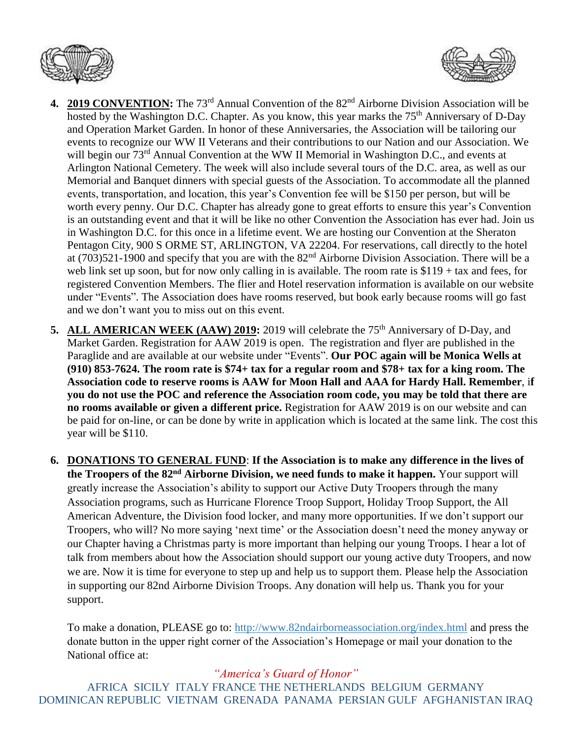



- **4. 2019 CONVENTION:** The 73rd Annual Convention of the 82nd Airborne Division Association will be hosted by the Washington D.C. Chapter. As you know, this year marks the 75<sup>th</sup> Anniversary of D-Day and Operation Market Garden. In honor of these Anniversaries, the Association will be tailoring our events to recognize our WW II Veterans and their contributions to our Nation and our Association. We will begin our  $73<sup>rd</sup>$  Annual Convention at the WW II Memorial in Washington D.C., and events at Arlington National Cemetery. The week will also include several tours of the D.C. area, as well as our Memorial and Banquet dinners with special guests of the Association. To accommodate all the planned events, transportation, and location, this year's Convention fee will be \$150 per person, but will be worth every penny. Our D.C. Chapter has already gone to great efforts to ensure this year's Convention is an outstanding event and that it will be like no other Convention the Association has ever had. Join us in Washington D.C. for this once in a lifetime event. We are hosting our Convention at the Sheraton Pentagon City, 900 S ORME ST, ARLINGTON, VA 22204. For reservations, call directly to the hotel at (703)521-1900 and specify that you are with the 82nd Airborne Division Association. There will be a web link set up soon, but for now only calling in is available. The room rate is \$119 + tax and fees, for registered Convention Members. The flier and Hotel reservation information is available on our website under "Events". The Association does have rooms reserved, but book early because rooms will go fast and we don't want you to miss out on this event.
- **5.** ALL AMERICAN WEEK (AAW) 2019: 2019 will celebrate the 75<sup>th</sup> Anniversary of D-Day, and Market Garden. Registration for AAW 2019 is open. The registration and flyer are published in the Paraglide and are available at our website under "Events". **Our POC again will be Monica Wells at (910) 853-7624. The room rate is \$74+ tax for a regular room and \$78+ tax for a king room. The Association code to reserve rooms is AAW for Moon Hall and AAA for Hardy Hall. Remember**, i**f you do not use the POC and reference the Association room code, you may be told that there are no rooms available or given a different price.** Registration for AAW 2019 is on our website and can be paid for on-line, or can be done by write in application which is located at the same link. The cost this year will be \$110.
- **6. DONATIONS TO GENERAL FUND**: **If the Association is to make any difference in the lives of the Troopers of the 82nd Airborne Division, we need funds to make it happen.** Your support will greatly increase the Association's ability to support our Active Duty Troopers through the many Association programs, such as Hurricane Florence Troop Support, Holiday Troop Support, the All American Adventure, the Division food locker, and many more opportunities. If we don't support our Troopers, who will? No more saying 'next time' or the Association doesn't need the money anyway or our Chapter having a Christmas party is more important than helping our young Troops. I hear a lot of talk from members about how the Association should support our young active duty Troopers, and now we are. Now it is time for everyone to step up and help us to support them. Please help the Association in supporting our 82nd Airborne Division Troops. Any donation will help us. Thank you for your support.

To make a donation, PLEASE go to:<http://www.82ndairborneassociation.org/index.html> and press the donate button in the upper right corner of the Association's Homepage or mail your donation to the National office at:

*"America's Guard of Honor"* AFRICA SICILY ITALY FRANCE THE NETHERLANDS BELGIUM GERMANY DOMINICAN REPUBLIC VIETNAM GRENADA PANAMA PERSIAN GULF AFGHANISTAN IRAQ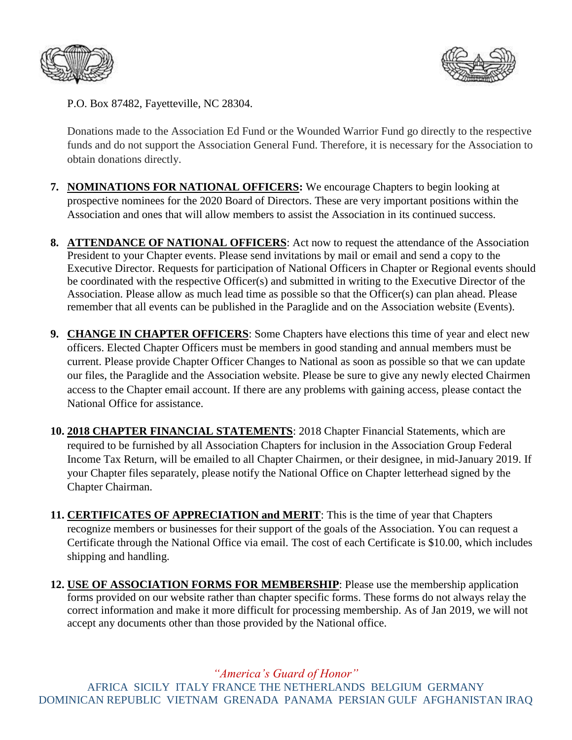



P.O. Box 87482, Fayetteville, NC 28304.

Donations made to the Association Ed Fund or the Wounded Warrior Fund go directly to the respective funds and do not support the Association General Fund. Therefore, it is necessary for the Association to obtain donations directly.

- **7. NOMINATIONS FOR NATIONAL OFFICERS:** We encourage Chapters to begin looking at prospective nominees for the 2020 Board of Directors. These are very important positions within the Association and ones that will allow members to assist the Association in its continued success.
- **8. ATTENDANCE OF NATIONAL OFFICERS**: Act now to request the attendance of the Association President to your Chapter events. Please send invitations by mail or email and send a copy to the Executive Director. Requests for participation of National Officers in Chapter or Regional events should be coordinated with the respective Officer(s) and submitted in writing to the Executive Director of the Association. Please allow as much lead time as possible so that the Officer(s) can plan ahead. Please remember that all events can be published in the Paraglide and on the Association website (Events).
- **9. CHANGE IN CHAPTER OFFICERS**: Some Chapters have elections this time of year and elect new officers. Elected Chapter Officers must be members in good standing and annual members must be current. Please provide Chapter Officer Changes to National as soon as possible so that we can update our files, the Paraglide and the Association website. Please be sure to give any newly elected Chairmen access to the Chapter email account. If there are any problems with gaining access, please contact the National Office for assistance.
- **10. 2018 CHAPTER FINANCIAL STATEMENTS**: 2018 Chapter Financial Statements, which are required to be furnished by all Association Chapters for inclusion in the Association Group Federal Income Tax Return, will be emailed to all Chapter Chairmen, or their designee, in mid-January 2019. If your Chapter files separately, please notify the National Office on Chapter letterhead signed by the Chapter Chairman.
- **11. CERTIFICATES OF APPRECIATION and MERIT**: This is the time of year that Chapters recognize members or businesses for their support of the goals of the Association. You can request a Certificate through the National Office via email. The cost of each Certificate is \$10.00, which includes shipping and handling.
- **12. USE OF ASSOCIATION FORMS FOR MEMBERSHIP**: Please use the membership application forms provided on our website rather than chapter specific forms. These forms do not always relay the correct information and make it more difficult for processing membership. As of Jan 2019, we will not accept any documents other than those provided by the National office.

*"America's Guard of Honor"*

AFRICA SICILY ITALY FRANCE THE NETHERLANDS BELGIUM GERMANY DOMINICAN REPUBLIC VIETNAM GRENADA PANAMA PERSIAN GULF AFGHANISTAN IRAQ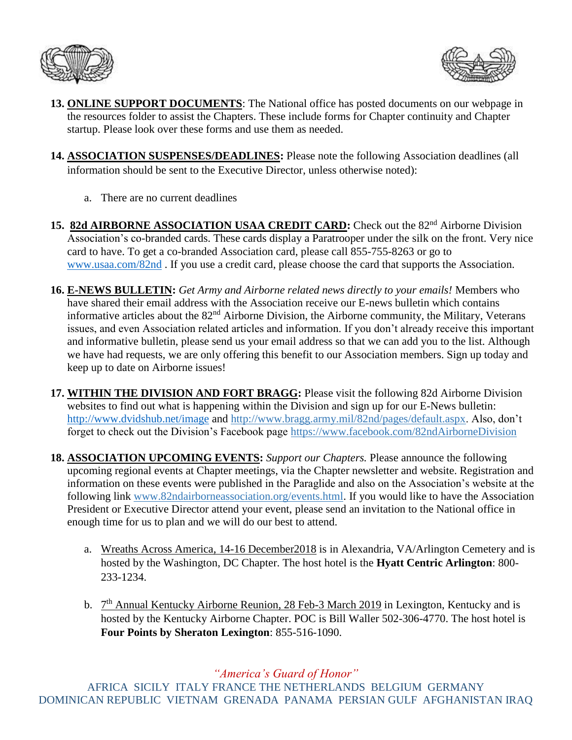



- **13. ONLINE SUPPORT DOCUMENTS**: The National office has posted documents on our webpage in the resources folder to assist the Chapters. These include forms for Chapter continuity and Chapter startup. Please look over these forms and use them as needed.
- **14. ASSOCIATION SUSPENSES/DEADLINES:** Please note the following Association deadlines (all information should be sent to the Executive Director, unless otherwise noted):
	- a. There are no current deadlines
- 15. 82d AIRBORNE ASSOCIATION USAA CREDIT CARD: Check out the 82<sup>nd</sup> Airborne Division Association's co-branded cards. These cards display a Paratrooper under the silk on the front. Very nice card to have. To get a co-branded Association card, please call 855-755-8263 or go to [www.usaa.com/82nd](http://www.usaa.com/82nd) . If you use a credit card, please choose the card that supports the Association.
- **16. E-NEWS BULLETIN:** *Get Army and Airborne related news directly to your emails!* Members who have shared their email address with the Association receive our E-news bulletin which contains informative articles about the 82nd Airborne Division, the Airborne community, the Military, Veterans issues, and even Association related articles and information. If you don't already receive this important and informative bulletin, please send us your email address so that we can add you to the list. Although we have had requests, we are only offering this benefit to our Association members. Sign up today and keep up to date on Airborne issues!
- **17. WITHIN THE DIVISION AND FORT BRAGG:** Please visit the following 82d Airborne Division websites to find out what is happening within the Division and sign up for our E-News bulletin: <http://www.dvidshub.net/image> and [http://www.bragg.army.mil/82nd/pages/default.aspx.](http://www.bragg.army.mil/82ND/Pages/default.aspx) Also, don't forget to check out the Division's Facebook page<https://www.facebook.com/82ndAirborneDivision>
- **18. ASSOCIATION UPCOMING EVENTS:** *Support our Chapters.* Please announce the following upcoming regional events at Chapter meetings, via the Chapter newsletter and website. Registration and information on these events were published in the Paraglide and also on the Association's website at the following link [www.82ndairborneassociation.org/events.html.](http://www.82ndairborneassociation.org/events.html) If you would like to have the Association President or Executive Director attend your event, please send an invitation to the National office in enough time for us to plan and we will do our best to attend.
	- a. Wreaths Across America, 14-16 December2018 is in Alexandria, VA/Arlington Cemetery and is hosted by the Washington, DC Chapter. The host hotel is the **Hyatt Centric Arlington**: 800- 233-1234.
	- b.  $7<sup>th</sup>$  Annual Kentucky Airborne Reunion, 28 Feb-3 March 2019 in Lexington, Kentucky and is hosted by the Kentucky Airborne Chapter. POC is Bill Waller 502-306-4770. The host hotel is **Four Points by Sheraton Lexington**: 855-516-1090.

*"America's Guard of Honor"*

AFRICA SICILY ITALY FRANCE THE NETHERLANDS BELGIUM GERMANY DOMINICAN REPUBLIC VIETNAM GRENADA PANAMA PERSIAN GULF AFGHANISTAN IRAQ